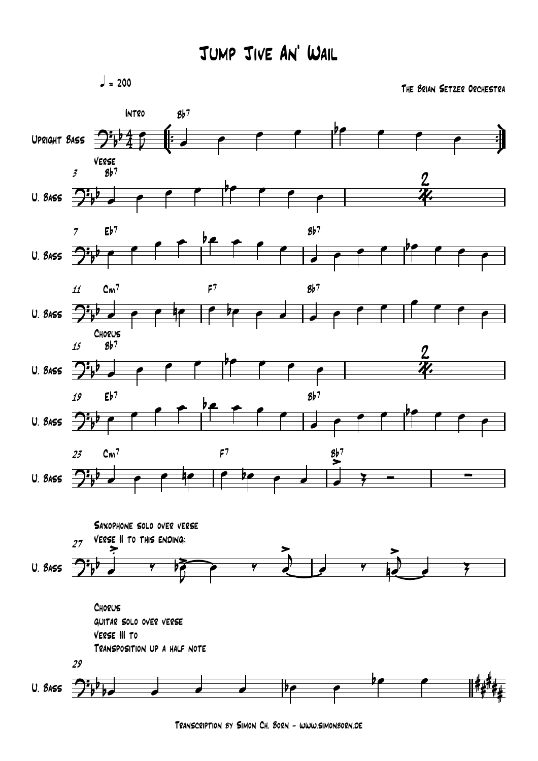$= 200$ 

*The Brian Setzer Orchestra*



*Transcription by Simon Ch. Born - www.simonborn.de*